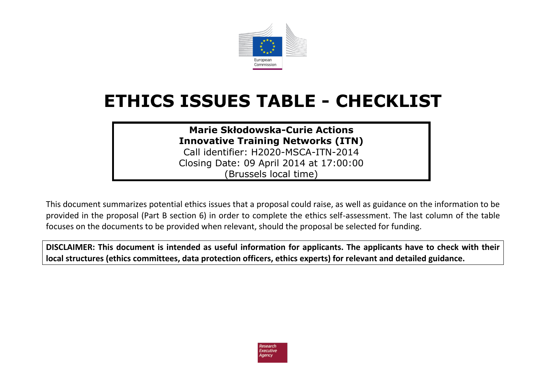

## **ETHICS ISSUES TABLE - CHECKLIST**

**Marie Skłodowska-Curie Actions Innovative Training Networks (ITN)**

Call identifier: H2020-MSCA-ITN-2014 Closing Date: 09 April 2014 at 17:00:00 (Brussels local time)

This document summarizes potential ethics issues that a proposal could raise, as well as guidance on the information to be provided in the proposal (Part B section 6) in order to complete the ethics self-assessment. The last column of the table focuses on the documents to be provided when relevant, should the proposal be selected for funding.

**DISCLAIMER: This document is intended as useful information for applicants. The applicants have to check with their local structures (ethics committees, data protection officers, ethics experts) for relevant and detailed guidance.**

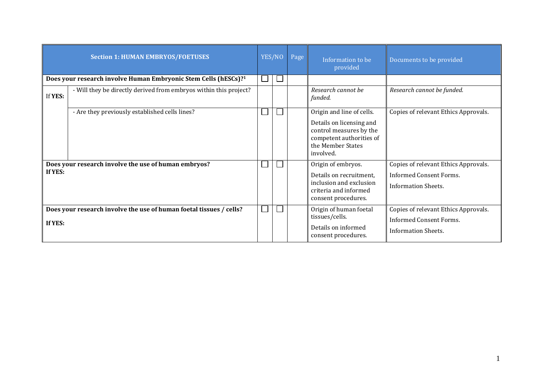|         | <b>Section 1: HUMAN EMBRYOS/FOETUSES</b>                                    | YES/NO | Page | Information to be<br>provided                                                                                                                  | Documents to be provided                                                                             |
|---------|-----------------------------------------------------------------------------|--------|------|------------------------------------------------------------------------------------------------------------------------------------------------|------------------------------------------------------------------------------------------------------|
|         | Does your research involve Human Embryonic Stem Cells (hESCs)? <sup>1</sup> |        |      |                                                                                                                                                |                                                                                                      |
| If YES: | - Will they be directly derived from embryos within this project?           |        |      | Research cannot be<br>funded.                                                                                                                  | Research cannot be funded.                                                                           |
|         | - Are they previously established cells lines?                              |        |      | Origin and line of cells.<br>Details on licensing and<br>control measures by the<br>competent authorities of<br>the Member States<br>involved. | Copies of relevant Ethics Approvals.                                                                 |
| If YES: | Does your research involve the use of human embryos?                        |        |      | Origin of embryos.<br>Details on recruitment,<br>inclusion and exclusion<br>criteria and informed<br>consent procedures.                       | Copies of relevant Ethics Approvals.<br><b>Informed Consent Forms.</b><br><b>Information Sheets.</b> |
| If YES: | Does your research involve the use of human foetal tissues / cells?         |        |      | Origin of human foetal<br>tissues/cells.<br>Details on informed<br>consent procedures.                                                         | Copies of relevant Ethics Approvals.<br><b>Informed Consent Forms.</b><br><b>Information Sheets.</b> |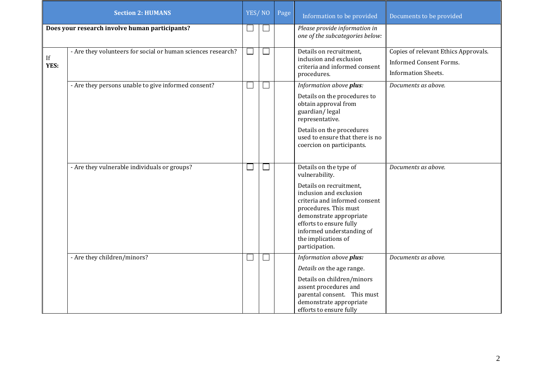|            | <b>Section 2: HUMANS</b>                                     | YES/NO |              | Page | Information to be provided                                                                                                                                                                                                                                                           | Documents to be provided                                                                             |
|------------|--------------------------------------------------------------|--------|--------------|------|--------------------------------------------------------------------------------------------------------------------------------------------------------------------------------------------------------------------------------------------------------------------------------------|------------------------------------------------------------------------------------------------------|
|            | Does your research involve human participants?               | $\Box$ | $\Box$       |      | Please provide information in<br>one of the subcategories below:                                                                                                                                                                                                                     |                                                                                                      |
| If<br>YES: | - Are they volunteers for social or human sciences research? | ⊔      | $\mathbb{L}$ |      | Details on recruitment,<br>inclusion and exclusion<br>criteria and informed consent<br>procedures.                                                                                                                                                                                   | Copies of relevant Ethics Approvals.<br><b>Informed Consent Forms.</b><br><b>Information Sheets.</b> |
|            | - Are they persons unable to give informed consent?          | ⊔      | $\mathbf{L}$ |      | Information above plus:<br>Details on the procedures to<br>obtain approval from<br>guardian/legal<br>representative.<br>Details on the procedures<br>used to ensure that there is no<br>coercion on participants.                                                                    | Documents as above.                                                                                  |
|            | - Are they vulnerable individuals or groups?                 | ⊔      |              |      | Details on the type of<br>vulnerability.<br>Details on recruitment,<br>inclusion and exclusion<br>criteria and informed consent<br>procedures. This must<br>demonstrate appropriate<br>efforts to ensure fully<br>informed understanding of<br>the implications of<br>participation. | Documents as above.                                                                                  |
|            | - Are they children/minors?                                  | ⊔      | I.           |      | Information above plus:<br>Details on the age range.<br>Details on children/minors<br>assent procedures and<br>parental consent. This must<br>demonstrate appropriate<br>efforts to ensure fully                                                                                     | Documents as above.                                                                                  |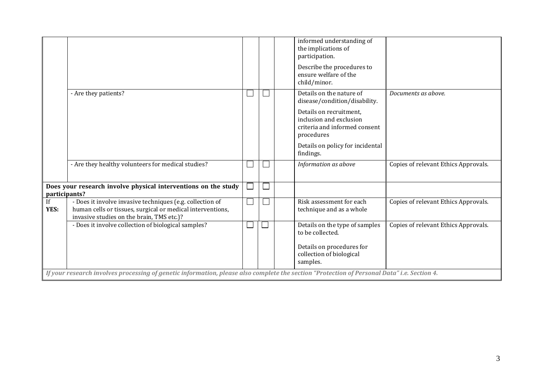|               |                                                                                                                                                                      |  | informed understanding of<br>the implications of<br>participation.                                |                                      |
|---------------|----------------------------------------------------------------------------------------------------------------------------------------------------------------------|--|---------------------------------------------------------------------------------------------------|--------------------------------------|
|               |                                                                                                                                                                      |  | Describe the procedures to<br>ensure welfare of the<br>child/minor.                               |                                      |
|               | - Are they patients?                                                                                                                                                 |  | Details on the nature of<br>disease/condition/disability.                                         | Documents as above.                  |
|               |                                                                                                                                                                      |  | Details on recruitment,<br>inclusion and exclusion<br>criteria and informed consent<br>procedures |                                      |
|               |                                                                                                                                                                      |  | Details on policy for incidental<br>findings.                                                     |                                      |
|               | - Are they healthy volunteers for medical studies?                                                                                                                   |  | Information as above                                                                              | Copies of relevant Ethics Approvals. |
| participants? | Does your research involve physical interventions on the study                                                                                                       |  |                                                                                                   |                                      |
| If<br>YES:    | - Does it involve invasive techniques (e.g. collection of<br>human cells or tissues, surgical or medical interventions,<br>invasive studies on the brain, TMS etc.)? |  | Risk assessment for each<br>technique and as a whole                                              | Copies of relevant Ethics Approvals. |
|               | - Does it involve collection of biological samples?                                                                                                                  |  | Details on the type of samples<br>to be collected.                                                | Copies of relevant Ethics Approvals. |
|               |                                                                                                                                                                      |  | Details on procedures for<br>collection of biological<br>samples.                                 |                                      |
|               | If your research involves processing of genetic information, please also complete the section "Protection of Personal Data" i.e. Section 4.                          |  |                                                                                                   |                                      |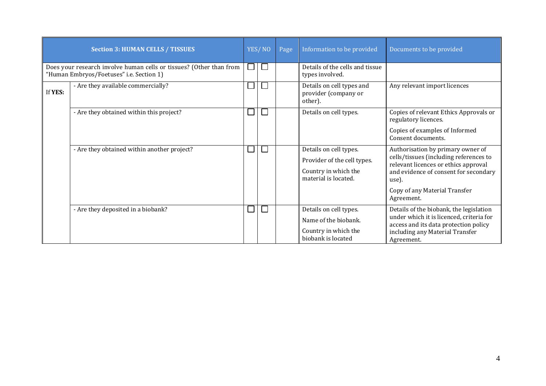|         | <b>Section 3: HUMAN CELLS / TISSUES</b>                                                                         |  | YES/NO       | Page | Information to be provided                                                                            | Documents to be provided                                                                                                                                                                                             |
|---------|-----------------------------------------------------------------------------------------------------------------|--|--------------|------|-------------------------------------------------------------------------------------------------------|----------------------------------------------------------------------------------------------------------------------------------------------------------------------------------------------------------------------|
|         | Does your research involve human cells or tissues? (Other than from<br>"Human Embryos/Foetuses" i.e. Section 1) |  | $\mathbf{L}$ |      | Details of the cells and tissue<br>types involved.                                                    |                                                                                                                                                                                                                      |
| If YES: | - Are they available commercially?                                                                              |  |              |      | Details on cell types and<br>provider (company or<br>other).                                          | Any relevant import licences                                                                                                                                                                                         |
|         | - Are they obtained within this project?                                                                        |  |              |      | Details on cell types.                                                                                | Copies of relevant Ethics Approvals or<br>regulatory licences.                                                                                                                                                       |
|         |                                                                                                                 |  |              |      |                                                                                                       | Copies of examples of Informed<br>Consent documents.                                                                                                                                                                 |
|         | - Are they obtained within another project?                                                                     |  |              |      | Details on cell types.<br>Provider of the cell types.<br>Country in which the<br>material is located. | Authorisation by primary owner of<br>cells/tissues (including references to<br>relevant licences or ethics approval<br>and evidence of consent for secondary<br>use).<br>Copy of any Material Transfer<br>Agreement. |
|         | - Are they deposited in a biobank?                                                                              |  |              |      | Details on cell types.<br>Name of the biobank.<br>Country in which the<br>biobank is located          | Details of the biobank, the legislation<br>under which it is licenced, criteria for<br>access and its data protection policy<br>including any Material Transfer<br>Agreement.                                        |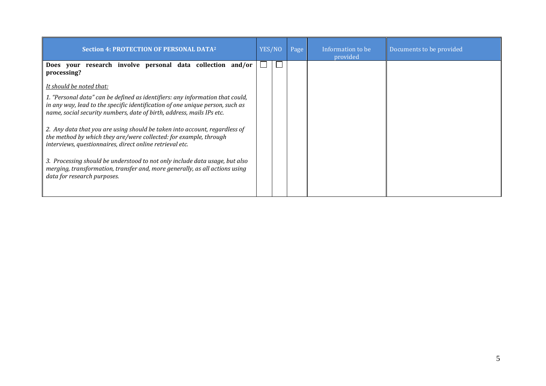| <b>Section 4: PROTECTION OF PERSONAL DATA<sup>2</sup></b>                                                                                                                                                   | YES/NO | Page | Information to be<br>provided | Documents to be provided |
|-------------------------------------------------------------------------------------------------------------------------------------------------------------------------------------------------------------|--------|------|-------------------------------|--------------------------|
| Does your research involve personal data collection<br>and/or<br>processing?                                                                                                                                |        |      |                               |                          |
| <u>It should be noted that:</u><br>1. "Personal data" can be defined as identifiers: any information that could,                                                                                            |        |      |                               |                          |
| in any way, lead to the specific identification of one unique person, such as<br>name, social security numbers, date of birth, address, mails IPs etc.                                                      |        |      |                               |                          |
| 2. Any data that you are using should be taken into account, regardless of<br>the method by which they are/were collected: for example, through<br>interviews, questionnaires, direct online retrieval etc. |        |      |                               |                          |
| 3. Processing should be understood to not only include data usage, but also<br>merging, transformation, transfer and, more generally, as all actions using<br>data for research purposes.                   |        |      |                               |                          |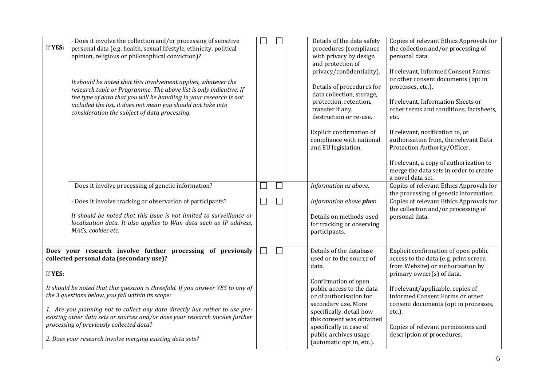| If YES: | - Does it involve the collection and/or processing of sensitive<br>personal data (e.g. health, sexual lifestyle, ethnicity, political<br>opinion, religious or philosophical conviction)?<br>It should be noted that this involvement applies, whatever the<br>research topic or Programme. The above list is only indicative. If<br>the type of data that you will be handling in your research is not<br>included the list, it does not mean you should not take into<br>consideration the subject of data processing. |  | Details of the data safety<br>procedures (compliance<br>with privacy by design<br>and protection of<br>privacy/confidentiality).<br>Details of procedures for<br>data collection, storage,<br>protection, retention,<br>transfer if any,<br>destruction or re-use.<br>Explicit confirmation of<br>compliance with national<br>and EU legislation. | Copies of relevant Ethics Approvals for<br>the collection and/or processing of<br>personal data.<br>If relevant, Informed Consent Forms<br>or other consent documents (opt in<br>processes, etc.).<br>If relevant, Information Sheets or<br>other terms and conditions, factsheets,<br>etc.<br>If relevant, notification to, or<br>authorisation from, the relevant Data<br>Protection Authority/Officer.<br>If relevant, a copy of authorization to<br>merge the data sets in order to create<br>a novel data set. |
|---------|--------------------------------------------------------------------------------------------------------------------------------------------------------------------------------------------------------------------------------------------------------------------------------------------------------------------------------------------------------------------------------------------------------------------------------------------------------------------------------------------------------------------------|--|---------------------------------------------------------------------------------------------------------------------------------------------------------------------------------------------------------------------------------------------------------------------------------------------------------------------------------------------------|---------------------------------------------------------------------------------------------------------------------------------------------------------------------------------------------------------------------------------------------------------------------------------------------------------------------------------------------------------------------------------------------------------------------------------------------------------------------------------------------------------------------|
|         | - Does it involve processing of genetic information?                                                                                                                                                                                                                                                                                                                                                                                                                                                                     |  | Information as above.                                                                                                                                                                                                                                                                                                                             | Copies of relevant Ethics Approvals for<br>the processing of genetic information.                                                                                                                                                                                                                                                                                                                                                                                                                                   |
|         | - Does it involve tracking or observation of participants?<br>It should be noted that this issue is not limited to surveillance or<br>localization data. It also applies to Wan data such as IP address,<br>MACs, cookies etc.                                                                                                                                                                                                                                                                                           |  | Information above plus:<br>Details on methods used<br>for tracking or observing<br>participants.                                                                                                                                                                                                                                                  | Copies of relevant Ethics Approvals for<br>the collection and/or processing of<br>personal data.                                                                                                                                                                                                                                                                                                                                                                                                                    |
| If YES: | Does your research involve further processing of previously<br>collected personal data (secondary use)?<br>It should be noted that this question is threefold. If you answer YES to any of<br>the 3 questions below, you fall within its scope:<br>1. Are you planning not to collect any data directly but rather to use pre-<br>existing other data sets or sources and/or does your research involve further<br>processing of previously collected data?<br>2. Does your research involve merging existing data sets? |  | Details of the database<br>used or to the source of<br>data.<br>Confirmation of open<br>public access to the data<br>or of authorisation for<br>secondary use. More<br>specifically, detail how<br>this consent was obtained<br>specifically in case of<br>public archives usage<br>(automatic opt in, etc.).                                     | Explicit confirmation of open public<br>access to the data (e.g. print screen<br>from Website) or authorisation by<br>primary owner(s) of data.<br>If relevant/applicable, copies of<br>Informed Consent Forms or other<br>consent documents (opt in processes,<br>etc.).<br>Copies of relevant permissions and<br>description of procedures.                                                                                                                                                                       |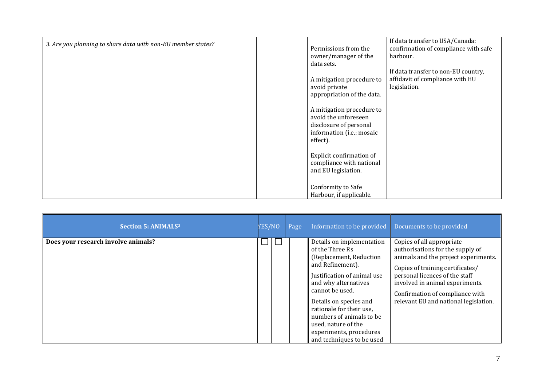| 3. Are you planning to share data with non-EU member states? |  | Permissions from the<br>owner/manager of the<br>data sets.                                                           | If data transfer to USA/Canada:<br>confirmation of compliance with safe<br>harbour.    |
|--------------------------------------------------------------|--|----------------------------------------------------------------------------------------------------------------------|----------------------------------------------------------------------------------------|
|                                                              |  | A mitigation procedure to<br>avoid private<br>appropriation of the data.                                             | If data transfer to non-EU country,<br>affidavit of compliance with EU<br>legislation. |
|                                                              |  | A mitigation procedure to<br>avoid the unforeseen<br>disclosure of personal<br>information (i.e.: mosaic<br>effect). |                                                                                        |
|                                                              |  | Explicit confirmation of<br>compliance with national<br>and EU legislation.                                          |                                                                                        |
|                                                              |  | Conformity to Safe<br>Harbour, if applicable.                                                                        |                                                                                        |

| <b>Section 5: ANIMALS3</b>          | YES/NO | Page | Information to be provided                                                                                                                                                                                                                                                                                                             | Documents to be provided                                                                                                                                                                                                                                                                   |
|-------------------------------------|--------|------|----------------------------------------------------------------------------------------------------------------------------------------------------------------------------------------------------------------------------------------------------------------------------------------------------------------------------------------|--------------------------------------------------------------------------------------------------------------------------------------------------------------------------------------------------------------------------------------------------------------------------------------------|
| Does your research involve animals? |        |      | Details on implementation<br>of the Three Rs<br>(Replacement, Reduction<br>and Refinement).<br>Justification of animal use<br>and why alternatives<br>cannot be used.<br>Details on species and<br>rationale for their use,<br>numbers of animals to be<br>used, nature of the<br>experiments, procedures<br>and techniques to be used | Copies of all appropriate<br>authorisations for the supply of<br>animals and the project experiments.<br>Copies of training certificates/<br>personal licences of the staff<br>involved in animal experiments.<br>Confirmation of compliance with<br>relevant EU and national legislation. |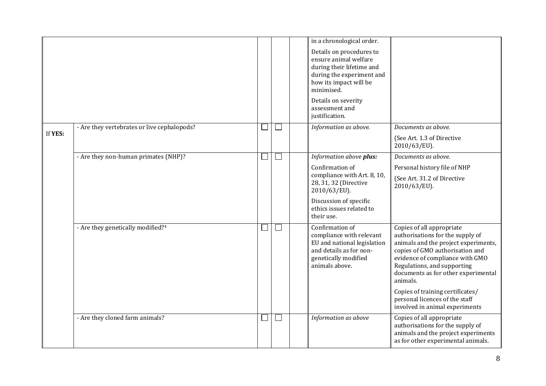|         |                                               |                             | in a chronological order.                                                                                                                           |                                                                                                                                                                                                                                                               |
|---------|-----------------------------------------------|-----------------------------|-----------------------------------------------------------------------------------------------------------------------------------------------------|---------------------------------------------------------------------------------------------------------------------------------------------------------------------------------------------------------------------------------------------------------------|
|         |                                               |                             | Details on procedures to<br>ensure animal welfare<br>during their lifetime and<br>during the experiment and<br>how its impact will be<br>minimised. |                                                                                                                                                                                                                                                               |
|         |                                               |                             | Details on severity<br>assessment and<br>justification.                                                                                             |                                                                                                                                                                                                                                                               |
|         | - Are they vertebrates or live cephalopods?   |                             | Information as above.                                                                                                                               | Documents as above.                                                                                                                                                                                                                                           |
| If YES: |                                               |                             |                                                                                                                                                     | (See Art. 1.3 of Directive<br>2010/63/EU).                                                                                                                                                                                                                    |
|         | - Are they non-human primates (NHP)?          |                             | Information above plus:                                                                                                                             | Documents as above.                                                                                                                                                                                                                                           |
|         |                                               |                             | Confirmation of                                                                                                                                     | Personal history file of NHP                                                                                                                                                                                                                                  |
|         |                                               |                             | compliance with Art. 8, 10,<br>28, 31, 32 (Directive<br>2010/63/EU).                                                                                | (See Art. 31.2 of Directive<br>2010/63/EU).                                                                                                                                                                                                                   |
|         |                                               |                             | Discussion of specific<br>ethics issues related to<br>their use.                                                                                    |                                                                                                                                                                                                                                                               |
|         | - Are they genetically modified? <sup>4</sup> |                             | Confirmation of<br>compliance with relevant<br>EU and national legislation<br>and details as for non-<br>genetically modified<br>animals above.     | Copies of all appropriate<br>authorisations for the supply of<br>animals and the project experiments,<br>copies of GMO authorisation and<br>evidence of compliance with GMO<br>Regulations, and supporting<br>documents as for other experimental<br>animals. |
|         |                                               |                             |                                                                                                                                                     | Copies of training certificates/<br>personal licences of the staff<br>involved in animal experiments                                                                                                                                                          |
|         | - Are they cloned farm animals?               | $\mathcal{L}_{\mathcal{A}}$ | Information as above                                                                                                                                | Copies of all appropriate<br>authorisations for the supply of<br>animals and the project experiments<br>as for other experimental animals.                                                                                                                    |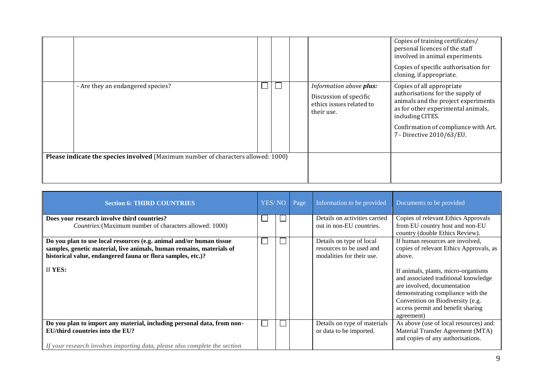|                                                                                   |                                   |  |  |  |                                                                                             | Copies of training certificates/<br>personal licences of the staff<br>involved in animal experiments.<br>Copies of specific authorisation for<br>cloning, if appropriate.                                                           |
|-----------------------------------------------------------------------------------|-----------------------------------|--|--|--|---------------------------------------------------------------------------------------------|-------------------------------------------------------------------------------------------------------------------------------------------------------------------------------------------------------------------------------------|
|                                                                                   | - Are they an endangered species? |  |  |  | Information above plus:<br>Discussion of specific<br>ethics issues related to<br>their use. | Copies of all appropriate<br>authorisations for the supply of<br>animals and the project experiments<br>as for other experimental animals,<br>including CITES.<br>Confirmation of compliance with Art.<br>7 - Directive 2010/63/EU. |
| Please indicate the species involved (Maximum number of characters allowed: 1000) |                                   |  |  |  |                                                                                             |                                                                                                                                                                                                                                     |

| <b>Section 6: THIRD COUNTRIES</b>                                                                                                                                                                          | YES/NO | Page | Information to be provided                                                        | Documents to be provided                                                                                                                                                                                                               |
|------------------------------------------------------------------------------------------------------------------------------------------------------------------------------------------------------------|--------|------|-----------------------------------------------------------------------------------|----------------------------------------------------------------------------------------------------------------------------------------------------------------------------------------------------------------------------------------|
| Does your research involve third countries?                                                                                                                                                                |        |      | Details on activities carried                                                     | Copies of relevant Ethics Approvals                                                                                                                                                                                                    |
| Countries: (Maximum number of characters allowed: 1000)                                                                                                                                                    |        |      | out in non-EU countries.                                                          | from EU country host and non-EU<br>country (double Ethics Review).                                                                                                                                                                     |
| Do you plan to use local resources (e.g. animal and/or human tissue<br>samples, genetic material, live animals, human remains, materials of<br>historical value, endangered fauna or flora samples, etc.)? |        |      | Details on type of local<br>resources to be used and<br>modalities for their use. | If human resources are involved,<br>copies of relevant Ethics Approvals, as<br>above.                                                                                                                                                  |
| If YES:                                                                                                                                                                                                    |        |      |                                                                                   | If animals, plants, micro-organisms<br>and associated traditional knowledge<br>are involved, documentation<br>demonstrating compliance with the<br>Convention on Biodiversity (e.g.<br>access permit and benefit sharing<br>agreement) |
| Do you plan to import any material, including personal data, from non-<br>EU/third countries into the EU?<br>If your research involves importing data, please also complete the section                    |        |      | Details on type of materials<br>or data to be imported.                           | As above (use of local resources) and:<br>Material Transfer Agreement (MTA)<br>and copies of any authorisations.                                                                                                                       |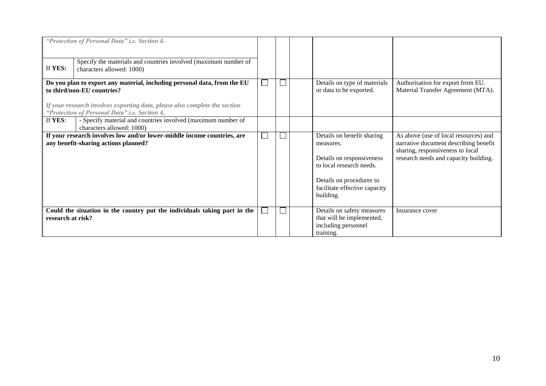|                   | "Protection of Personal Data" i.e. Section 4.                                                                                                                                                                                         |  |                                                                                                                                                                            |                                                                                                                                                             |
|-------------------|---------------------------------------------------------------------------------------------------------------------------------------------------------------------------------------------------------------------------------------|--|----------------------------------------------------------------------------------------------------------------------------------------------------------------------------|-------------------------------------------------------------------------------------------------------------------------------------------------------------|
| If YES:           | Specify the materials and countries involved (maximum number of<br>characters allowed: 1000)                                                                                                                                          |  |                                                                                                                                                                            |                                                                                                                                                             |
|                   | Do you plan to export any material, including personal data, from the EU<br>to third/non-EU countries?<br>If your research involves exporting data, please also complete the section<br>"Protection of Personal Data" i.e. Section 4. |  | Details on type of materials<br>or data to be exported.                                                                                                                    | Authorisation for export from EU.<br>Material Transfer Agreement (MTA).                                                                                     |
| If YES:           | - Specify material and countries involved (maximum number of<br>characters allowed: 1000)                                                                                                                                             |  |                                                                                                                                                                            |                                                                                                                                                             |
|                   | If your research involves low and/or lower-middle income countries, are<br>any benefit-sharing actions planned?                                                                                                                       |  | Details on benefit sharing<br>measures.<br>Details on responsiveness<br>to local research needs.<br>Details on procedures to<br>facilitate effective capacity<br>building. | As above (use of local resources) and<br>narrative document describing benefit<br>sharing, responsiveness to local<br>research needs and capacity building. |
| research at risk? | Could the situation in the country put the individuals taking part in the                                                                                                                                                             |  | Details on safety measures<br>that will be implemented,<br>including personnel<br>training.                                                                                | Insurance cover                                                                                                                                             |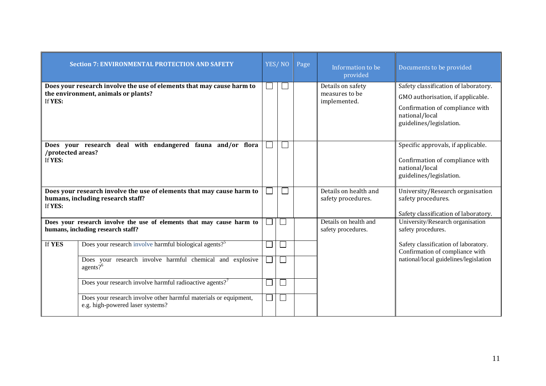|                                                                                                            | <b>Section 7: ENVIRONMENTAL PROTECTION AND SAFETY</b>                                                        |                             | YES/NO         | Page | Information to be<br>provided                       | Documents to be provided                                                                                                                                  |
|------------------------------------------------------------------------------------------------------------|--------------------------------------------------------------------------------------------------------------|-----------------------------|----------------|------|-----------------------------------------------------|-----------------------------------------------------------------------------------------------------------------------------------------------------------|
| If YES:                                                                                                    | Does your research involve the use of elements that may cause harm to<br>the environment, animals or plants? |                             |                |      | Details on safety<br>measures to be<br>implemented. | Safety classification of laboratory.<br>GMO authorisation, if applicable.<br>Confirmation of compliance with<br>national/local<br>guidelines/legislation. |
| /protected areas?<br>If YES:                                                                               | Does your research deal with endangered fauna and/or flora                                                   |                             |                |      |                                                     | Specific approvals, if applicable.<br>Confirmation of compliance with<br>national/local<br>guidelines/legislation.                                        |
| If YES:                                                                                                    | Does your research involve the use of elements that may cause harm to<br>humans, including research staff?   |                             |                |      | Details on health and<br>safety procedures.         | University/Research organisation<br>safety procedures.<br>Safety classification of laboratory.                                                            |
| Does your research involve the use of elements that may cause harm to<br>humans, including research staff? |                                                                                                              | $\mathcal{L}_{\mathcal{A}}$ | $\overline{a}$ |      | Details on health and<br>safety procedures.         | University/Research organisation<br>safety procedures.                                                                                                    |
| If YES                                                                                                     | Does your research involve harmful biological agents? <sup>5</sup>                                           |                             |                |      |                                                     | Safety classification of laboratory.<br>Confirmation of compliance with                                                                                   |
|                                                                                                            | Does your research involve harmful chemical and explosive<br>agents? $6$                                     | $\mathcal{L}_{\mathcal{A}}$ |                |      |                                                     | national/local guidelines/legislation                                                                                                                     |
|                                                                                                            | Does your research involve harmful radioactive agents? <sup>7</sup>                                          | $\mathcal{L}_{\mathcal{A}}$ | $\overline{a}$ |      |                                                     |                                                                                                                                                           |
|                                                                                                            | Does your research involve other harmful materials or equipment,<br>e.g. high-powered laser systems?         | $\mathcal{L}_{\mathcal{A}}$ | $\mathsf{L}$   |      |                                                     |                                                                                                                                                           |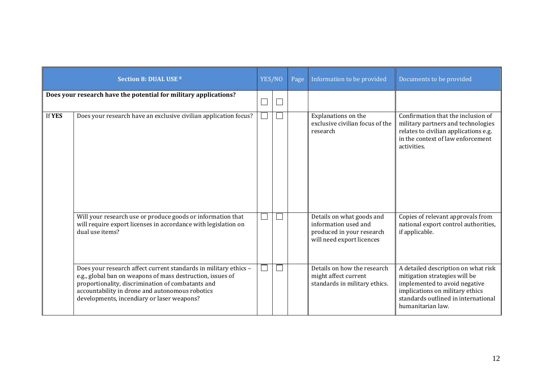|        | Section 8: DUAL USE 8                                                                                                                                                                                                                                                                |        | YES/NO | Page | Information to be provided                                                                                  | Documents to be provided                                                                                                                                                                             |
|--------|--------------------------------------------------------------------------------------------------------------------------------------------------------------------------------------------------------------------------------------------------------------------------------------|--------|--------|------|-------------------------------------------------------------------------------------------------------------|------------------------------------------------------------------------------------------------------------------------------------------------------------------------------------------------------|
|        | Does your research have the potential for military applications?                                                                                                                                                                                                                     | i<br>L | $\Box$ |      |                                                                                                             |                                                                                                                                                                                                      |
| If YES | Does your research have an exclusive civilian application focus?                                                                                                                                                                                                                     |        |        |      | Explanations on the<br>exclusive civilian focus of the<br>research                                          | Confirmation that the inclusion of<br>military partners and technologies<br>relates to civilian applications e.g.<br>in the context of law enforcement<br>activities.                                |
|        | Will your research use or produce goods or information that<br>will require export licenses in accordance with legislation on<br>dual use items?                                                                                                                                     |        |        |      | Details on what goods and<br>information used and<br>produced in your research<br>will need export licences | Copies of relevant approvals from<br>national export control authorities,<br>if applicable.                                                                                                          |
|        | Does your research affect current standards in military ethics -<br>e.g., global ban on weapons of mass destruction, issues of<br>proportionality, discrimination of combatants and<br>accountability in drone and autonomous robotics<br>developments, incendiary or laser weapons? |        |        |      | Details on how the research<br>might affect current<br>standards in military ethics.                        | A detailed description on what risk<br>mitigation strategies will be<br>implemented to avoid negative<br>implications on military ethics<br>standards outlined in international<br>humanitarian law. |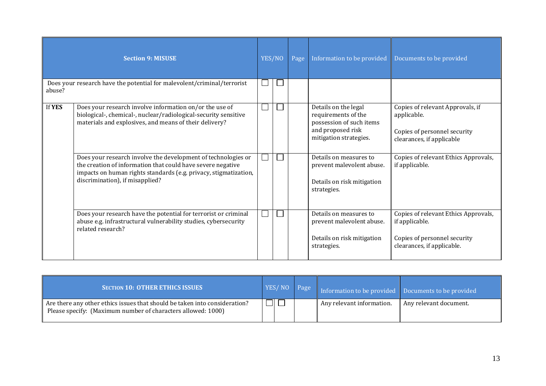|        | <b>Section 9: MISUSE</b>                                                                                                                                                                                                            | YES/NO | Page | Information to be provided                                                                                             | Documents to be provided                                                                                             |
|--------|-------------------------------------------------------------------------------------------------------------------------------------------------------------------------------------------------------------------------------------|--------|------|------------------------------------------------------------------------------------------------------------------------|----------------------------------------------------------------------------------------------------------------------|
| abuse? | Does your research have the potential for malevolent/criminal/terrorist                                                                                                                                                             |        |      |                                                                                                                        |                                                                                                                      |
| If YES | Does your research involve information on/or the use of<br>biological-, chemical-, nuclear/radiological-security sensitive<br>materials and explosives, and means of their delivery?                                                |        |      | Details on the legal<br>requirements of the<br>possession of such items<br>and proposed risk<br>mitigation strategies. | Copies of relevant Approvals, if<br>applicable.<br>Copies of personnel security<br>clearances, if applicable         |
|        | Does your research involve the development of technologies or<br>the creation of information that could have severe negative<br>impacts on human rights standards (e.g. privacy, stigmatization,<br>discrimination), if misapplied? |        |      | Details on measures to<br>prevent malevolent abuse.<br>Details on risk mitigation<br>strategies.                       | Copies of relevant Ethics Approvals,<br>if applicable.                                                               |
|        | Does your research have the potential for terrorist or criminal<br>abuse e.g. infrastructural vulnerability studies, cybersecurity<br>related research?                                                                             |        |      | Details on measures to<br>prevent malevolent abuse.<br>Details on risk mitigation<br>strategies.                       | Copies of relevant Ethics Approvals,<br>if applicable.<br>Copies of personnel security<br>clearances, if applicable. |

| <b>SECTION 10: OTHER ETHICS ISSUES</b>                                                                                                     | YES/NO Page | Information to be provided Documents to be provided |                        |
|--------------------------------------------------------------------------------------------------------------------------------------------|-------------|-----------------------------------------------------|------------------------|
| Are there any other ethics issues that should be taken into consideration?<br>Please specify: (Maximum number of characters allowed: 1000) |             | Any relevant information.                           | Any relevant document. |